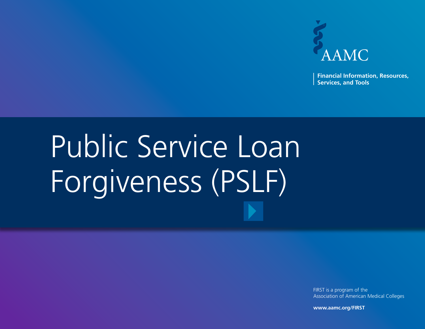

**Financial Information, Resources, Services, and Tools**

# Public Service Loan Forgiveness (PSLF)

FIRST is a program of the Association of American Medical Colleges

**www.aamc.org/FIRST**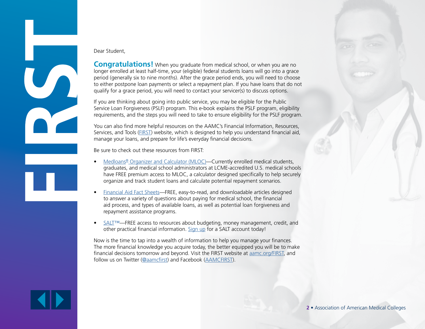

#### Dear Student,

**Congratulations!** When you graduate from medical school, or when you are no longer enrolled at least half-time, your (eligible) federal students loans will go into a grace period (generally six to nine months). After the grace period ends, you will need to choose to either postpone loan payments or select a repayment plan. If you have loans that do not qualify for a grace period, you will need to contact your servicer(s) to discuss options.

If you are thinking about going into public service, you may be eligible for the Public Service Loan Forgiveness (PSLF) program. This e-book explains the PSLF program, eligibility requirements, and the steps you will need to take to ensure eligibility for the PSLF program.

You can also find more helpful resources on the AAMC's Financial Information, Resources, Services, and Tools [\(FIRST\)](https://www.aamc.org/services/first/) website, which is designed to help you understand financial aid, manage your loans, and prepare for life's everyday financial decisions.

Be sure to check out these resources from FIRST:

- [Medloans® Organizer and Calculator \(MLOC\)](https://www.aamc.org/services/first/medloans/)—Currently enrolled medical students, graduates, and medical school administrators at LCME-accredited U.S. medical schools have FREE premium access to MLOC, a calculator designed specifically to help securely organize and track student loans and calculate potential repayment scenarios.
- [Financial Aid Fact Sheet](https://www.aamc.org/services/first/first_factsheets/)s—FREE, easy-to-read, and downloadable articles designed to answer a variety of questions about paying for medical school, the financial aid process, and types of available loans, as well as potential loan forgiveness and repayment assistance programs.
- [SALT](https://www.saltmoney.org/register/index.html?WT.mc_id=PA-AAMC-V&oe=444462&br=00)™—FREE access to resources about budgeting, money management, credit, and other practical financial information. [Sign up](https://www.saltmoney.org/register/index.html?WT.mc_id=PA-AAMC-V&oe=444462&br=00) for a SALT account today!

Now is the time to tap into a wealth of information to help you manage your finances. The more financial knowledge you acquire today, the better equipped you will be to make financial decisions tomorrow and beyond. Visit the FIRST website at **aamc.org/FIRST**, and follow us on Twitter ([@aamcfirst\)](https://twitter.com/aamcfirst) and Facebook [\(AAMCFIRST\)](https://www.facebook.com/AAMCFIRST).

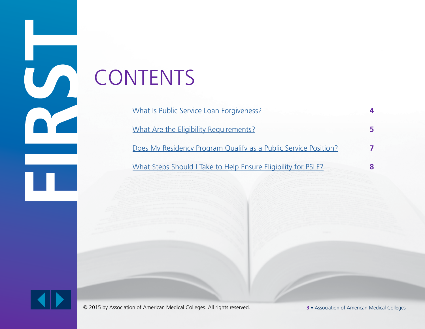## **CONTENTS**

| What Is Public Service Loan Forgiveness?                        |   |
|-----------------------------------------------------------------|---|
| What Are the Eligibility Requirements?                          |   |
| Does My Residency Program Qualify as a Public Service Position? |   |
| What Steps Should I Take to Help Ensure Eligibility for PSLF?   | 8 |



© 2015 by Association of American Medical Colleges. All rights reserved. **3** • Association of American Medical Colleges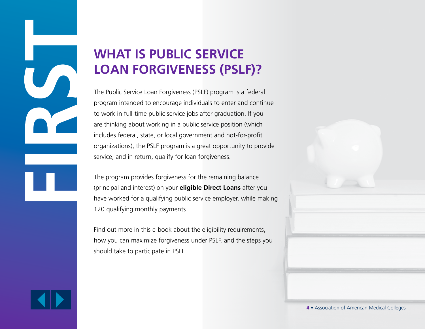## <span id="page-3-0"></span>**WHAT IS PUBLIC SERVICE LOAN FORGIVENESS (PSLF)?**

The Public Service Loan Forgiveness (PSLF) program is a federal program intended to encourage individuals to enter and continue to work in full-time public service jobs after graduation. If you are thinking about working in a public service position (which includes federal, state, or local government and not-for-profit organizations), the PSLF program is a great opportunity to provide service, and in return, qualify for loan forgiveness.

The program provides forgiveness for the remaining balance (principal and interest) on your **eligible Direct Loans** after you have worked for a qualifying public service employer, while making 120 qualifying monthly payments.

Find out more in this e-book about the eligibility requirements, how you can maximize forgiveness under PSLF, and the steps you should take to participate in PSLF.

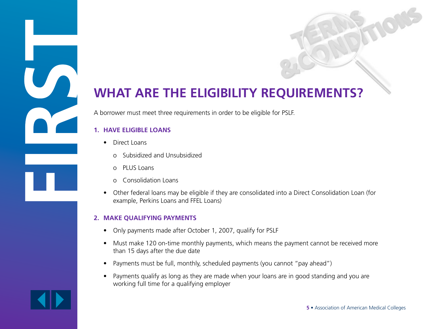### <span id="page-4-0"></span>**WHAT ARE THE ELIGIBILITY REQUIREMENTS?**

A borrower must meet three requirements in order to be eligible for PSLF.

#### **1. HAVE ELIGIBLE LOANS**

- Direct Loans
	- o Subsidized and Unsubsidized
	- o PLUS Loans
	- o Consolidation Loans
- Other federal loans may be eligible if they are consolidated into a Direct Consolidation Loan (for example, Perkins Loans and FFEL Loans)

#### **2. MAKE QUALIFYING PAYMENTS**

- Only payments made after October 1, 2007, qualify for PSLF
- Must make 120 on-time monthly payments, which means the payment cannot be received more than 15 days after the due date
- Payments must be full, monthly, scheduled payments (you cannot "pay ahead")
- Payments qualify as long as they are made when your loans are in good standing and you are working full time for a qualifying employer

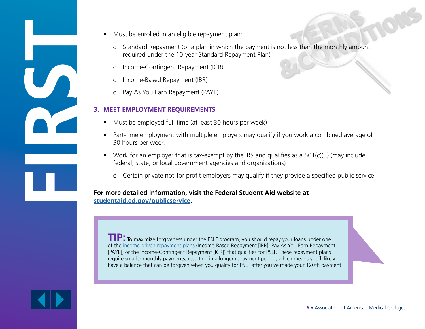- 
- Must be enrolled in an eligible repayment plan:
	- o Standard Repayment (or a plan in which the payment is not less than the monthly amount required under the 10-year Standard Repayment Plan)
	- o Income-Contingent Repayment (ICR)
	- o Income-Based Repayment (IBR)
	- o Pay As You Earn Repayment (PAYE)

#### **3. MEET EMPLOYMENT REQUIREMENTS**

- Must be employed full time (at least 30 hours per week)
- Part-time employment with multiple employers may qualify if you work a combined average of 30 hours per week
- Work for an employer that is tax-exempt by the IRS and qualifies as a  $501(c)(3)$  (may include federal, state, or local government agencies and organizations)
	- o Certain private not-for-profit employers may qualify if they provide a specified public service

**For more detailed information, visit the Federal Student Aid website at [studentaid.ed.gov/publicservice.](https://studentaid.ed.gov/sa/repay-loans/forgiveness-cancellation/public-service)**

**TIP:** To maximize forgiveness under the PSLF program, you should repay your loans under one of the [income-driven repayment plan](https://studentaid.ed.gov/repay-loans/understand/plans/income-driven)s (Income-Based Repayment [IBR], Pay As You Earn Repayment [PAYE], or the Income-Contingent Repayment [ICR]) that qualifies for PSLF. These repayment plans require smaller monthly payments, resulting in a longer repayment period, which means you'll likely have a balance that can be forgiven when you qualify for PSLF after you've made your 120th payment.

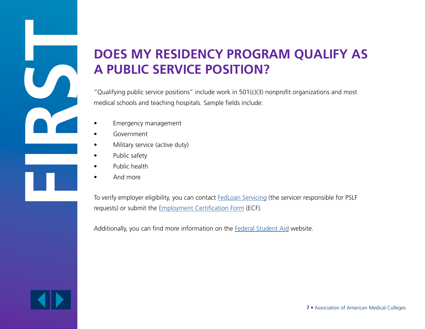## <span id="page-6-0"></span>**DOES MY RESIDENCY PROGRAM QUALIFY AS A PUBLIC SERVICE POSITION?**

"Qualifying public service positions" include work in  $501(c)(3)$  nonprofit organizations and most medical schools and teaching hospitals. Sample fields include:

- Emergency management
- Government
- Military service (active duty)
- Public safety
- Public health
- And more

To verify employer eligibility, you can contact **[FedLoan Servicing](http://www.myfedloan.org/pslf)** (the servicer responsible for PSLF requests) or submit the [Employment Certification Form](http://www.myfedloan.org/manage-account/loan-forgiveness-discharge-programs/public-service-loan-forgiveness.shtml) (ECF).

Additionally, you can find more information on the [Federal Student Aid](https://studentaid.ed.gov/repay-loans/forgiveness-cancellation/public-service#what-is-a-qualifying) website.



**7** • Association of American Medical Colleges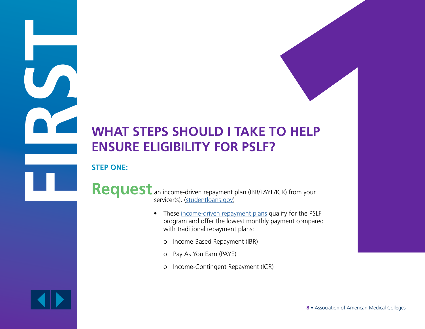## <span id="page-7-0"></span>**WHAT STEPS SHOULD I TAKE TO HELP ENSURE ELIGIBILITY FOR PSLF?**

**STEP ONE:**

Request an income-driven repayment plan (IBR/PAYE/ICR) from your servicer(s). ([studentloans.gov](http://studentloans.gov))

- These income-driven repayment plans qualify for the PSLF program and offer the lowest monthly payment compared with traditional repayment plans:
	- o Income-Based Repayment (IBR)
	- o Pay As You Earn (PAYE)
	- o Income-Contingent Repayment (ICR)

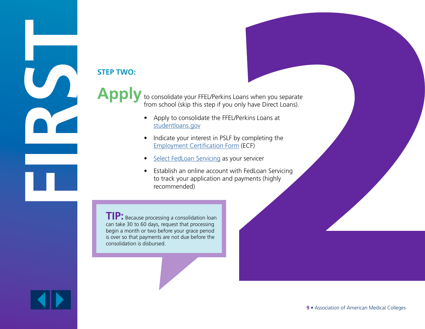## **STEP TWO:**

Apply to consolidate your FFEL/Perkins Loans when you separate from school (skip this step if you only have Direct Loans).

- Apply to consolidate the FFEL/Perkins Loans at [studentloans.gov](http://studentloans.gov)
- Indicate your interest in PSLF by completing the [Employment Certification Form](http://www.myfedloan.org/manage-account/loan-forgiveness-discharge-programs/public-service-loan-forgiveness.shtml) (ECF)
- [Select FedLoan Servicing](http://www.myfedloan.org/index.html) as your servicer
- Establish an online account with FedLoan Servicing to track your application and payments (highly recommended)

**TIP:** Because processing a consolidation loan can take 30 to 60 days, request that processing begin a month or two before your grace period is over so that payments are not due before the consolidation is disbursed.

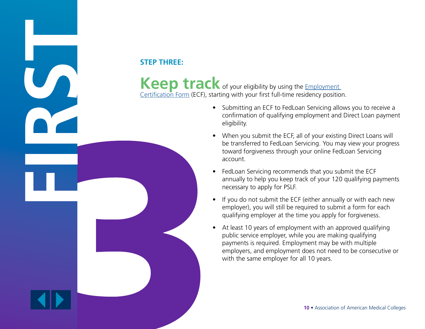#### **STEP THREE:**

Keep track of your eligibility by using the **Employment** [Certification Form](http://www.myfedloan.org/manage-account/loan-forgiveness-discharge-programs/public-service-loan-forgiveness.shtml) (ECF), starting with your first full-time residency position.

- Submitting an ECF to FedLoan Servicing allows you to receive a confirmation of qualifying employment and Direct Loan payment eligibility.
- When you submit the ECF, all of your existing Direct Loans will be transferred to FedLoan Servicing. You may view your progress toward forgiveness through your online FedLoan Servicing account.
- FedLoan Servicing recommends that you submit the ECF annually to help you keep track of your 120 qualifying payments necessary to apply for PSLF.
- If you do not submit the ECF (either annually or with each new employer), you will still be required to submit a form for each qualifying employer at the time you apply for forgiveness.
- At least 10 years of employment with an approved qualifying public service employer, while you are making qualifying payments is required. Employment may be with multiple employers, and employment does not need to be consecutive or with the same employer for all 10 years.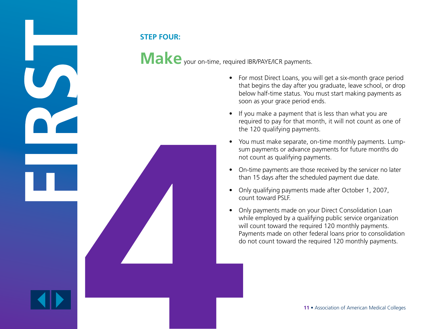

Make your on-time, required IBR/PAYE/ICR payments.

- For most Direct Loans, you will get a six-month grace period that begins the day after you graduate, leave school, or drop below half-time status. You must start making payments as soon as your grace period ends.
- If you make a payment that is less than what you are required to pay for that month, it will not count as one of the 120 qualifying payments.
- You must make separate, on-time monthly payments. Lumpsum payments or advance payments for future months do not count as qualifying payments.
- On-time payments are those received by the servicer no later than 15 days after the scheduled payment due date.
- Only qualifying payments made after October 1, 2007, count toward PSLF.
- Only payments made on your Direct Consolidation Loan while employed by a qualifying public service organization will count toward the required 120 monthly payments. Payments made on other federal loans prior to consolidation do not count toward the required 120 monthly payments.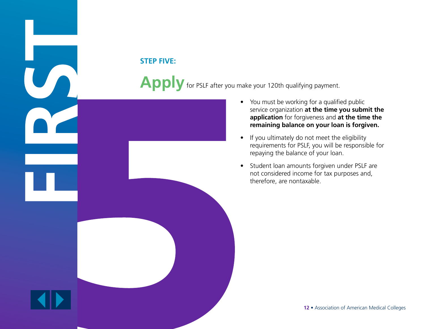#### **STEP FIVE:**

Apply for PSLF after you make your 120th qualifying payment.

- You must be working for a qualified public service organization **at the time you submit the application** for forgiveness and **at the time the remaining balance on your loan is forgiven.**
- If you ultimately do not meet the eligibility requirements for PSLF, you will be responsible for repaying the balance of your loan.
- Student loan amounts forgiven under PSLF are not considered income for tax purposes and, therefore, are nontaxable.